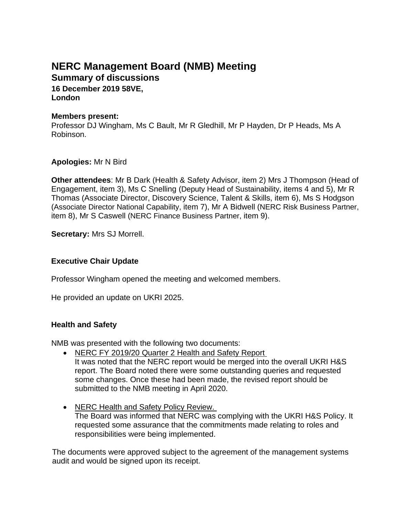# **NERC Management Board (NMB) Meeting Summary of discussions**

**16 December 2019 58VE, London**

#### **Members present:**

Professor DJ Wingham, Ms C Bault, Mr R Gledhill, Mr P Hayden, Dr P Heads, Ms A Robinson.

#### **Apologies:** Mr N Bird

**Other attendees**: Mr B Dark (Health & Safety Advisor, item 2) Mrs J Thompson (Head of Engagement, item 3), Ms C Snelling (Deputy Head of Sustainability, items 4 and 5), Mr R Thomas (Associate Director, Discovery Science, Talent & Skills, item 6), Ms S Hodgson (Associate Director National Capability, item 7), Mr A Bidwell (NERC Risk Business Partner, item 8), Mr S Caswell (NERC Finance Business Partner, item 9).

**Secretary:** Mrs SJ Morrell.

# **Executive Chair Update**

Professor Wingham opened the meeting and welcomed members.

He provided an update on UKRI 2025.

#### **Health and Safety**

NMB was presented with the following two documents:

- NERC FY 2019/20 Quarter 2 Health and Safety Report It was noted that the NERC report would be merged into the overall UKRI H&S report. The Board noted there were some outstanding queries and requested some changes. Once these had been made, the revised report should be submitted to the NMB meeting in April 2020.
- NERC Health and Safety Policy Review. The Board was informed that NERC was complying with the UKRI H&S Policy. It requested some assurance that the commitments made relating to roles and responsibilities were being implemented.

The documents were approved subject to the agreement of the management systems audit and would be signed upon its receipt.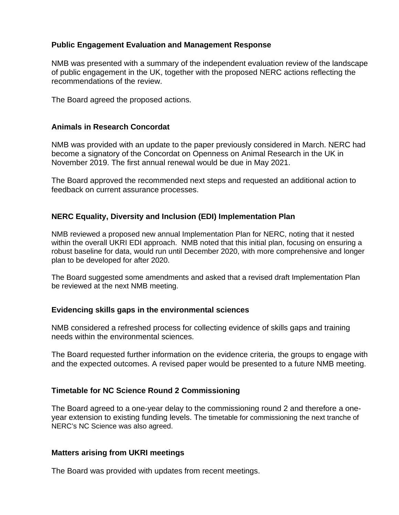## **Public Engagement Evaluation and Management Response**

NMB was presented with a summary of the independent evaluation review of the landscape of public engagement in the UK, together with the proposed NERC actions reflecting the recommendations of the review.

The Board agreed the proposed actions.

#### **Animals in Research Concordat**

NMB was provided with an update to the paper previously considered in March. NERC had become a signatory of the Concordat on Openness on Animal Research in the UK in November 2019. The first annual renewal would be due in May 2021.

The Board approved the recommended next steps and requested an additional action to feedback on current assurance processes.

#### **NERC Equality, Diversity and Inclusion (EDI) Implementation Plan**

NMB reviewed a proposed new annual Implementation Plan for NERC, noting that it nested within the overall UKRI EDI approach. NMB noted that this initial plan, focusing on ensuring a robust baseline for data, would run until December 2020, with more comprehensive and longer plan to be developed for after 2020.

The Board suggested some amendments and asked that a revised draft Implementation Plan be reviewed at the next NMB meeting.

#### **Evidencing skills gaps in the environmental sciences**

NMB considered a refreshed process for collecting evidence of skills gaps and training needs within the environmental sciences.

The Board requested further information on the evidence criteria, the groups to engage with and the expected outcomes. A revised paper would be presented to a future NMB meeting.

#### **Timetable for NC Science Round 2 Commissioning**

The Board agreed to a one-year delay to the commissioning round 2 and therefore a oneyear extension to existing funding levels. The timetable for commissioning the next tranche of NERC's NC Science was also agreed.

#### **Matters arising from UKRI meetings**

The Board was provided with updates from recent meetings.